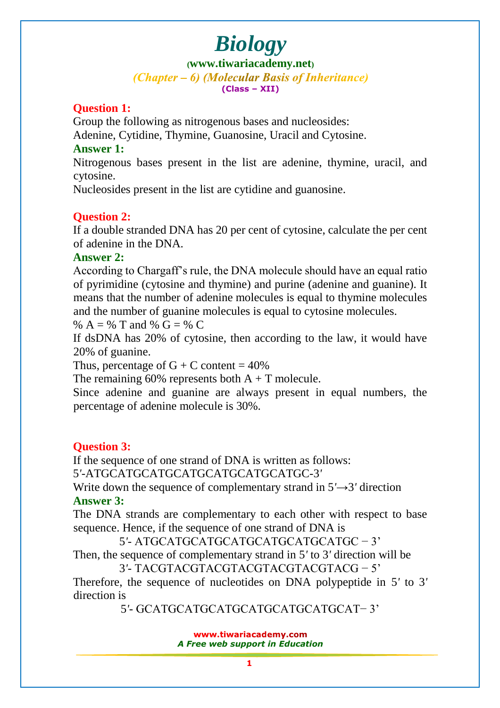**([www.tiwariacademy.net](http://www.tiwariacademy.net/))** (Chapter – 6) (Molecular Basis of Inheritance) **(Class – XII)**

# **Question 1:**

Group the following as nitrogenous bases and nucleosides:

Adenine, Cytidine, Thymine, Guanosine, Uracil and Cytosine.

## **Answer 1:**

Nitrogenous bases present in the list are adenine, thymine, uracil, and cytosine.

Nucleosides present in the list are cytidine and guanosine.

# **Question 2:**

If a double stranded DNA has 20 per cent of cytosine, calculate the per cent of adenine in the DNA.

# **Answer 2:**

Accordi[ng to Chargaff's rule, the DNA molecule should have an e](www.tiwariacademy.com)qual ratio of pyrimidine (cytosine and thymine) and purine (adenine and guanine). It means that the number of adenine molecules is equal to thymine molecules and the number of guanine molecules is equal to cytosine molecules.

% A = % T and % G = % C

If dsDNA has 20% of cytosine, then according to the law, it would have 20% of guanine.

Thus, percentage of  $G + C$  content = 40%

The remaining 60% represents both  $A + T$  molecule.

Since adenine and guanine are always present in equal numbers, the percentage of adenine molecule is 30%.

# **Question 3:**

If the sequence of one strand of DNA is written as follows:

5*'*-ATGCATGCATGCATGCATGCATGCATGC-3*'*

Write down the sequence of complementary strand in 5*'*→3*'* direction **Answer 3:**

The DNA strands are complementary to each other with respect to base sequence. Hence, if the sequence of one strand of DNA is

5*'*- ATGCATGCATGCATGCATGCATGCATGC − 3'

Then, the sequence of complementary strand in 5*'* to 3*'* direction will be

3*'*- TACGTACGTACGTACGTACGTACGTACG − 5' Therefore, the sequence of nucleotides on DNA polypeptide in 5*'* to 3*'* direction is

5*'*- GCATGCATGCATGCATGCATGCATGCAT− 3'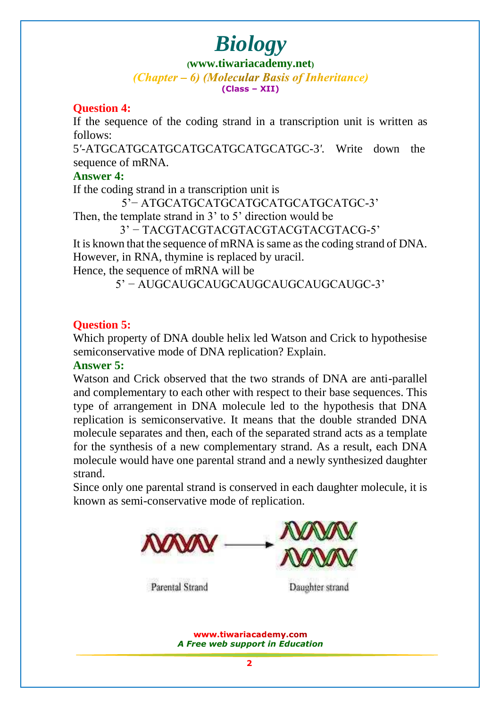**([www.tiwariacademy.net](http://www.tiwariacademy.net/))** (Chapter – 6) (Molecular Basis of Inheritance) **(Class – XII)**

### **Question 4:**

If the sequence of the coding strand in a transcription unit is written as follows:

5*'*-ATGCATGCATGCATGCATGCATGCATGC-3*'.* Write down the sequence of mRNA.

#### **Answer 4:**

If the coding strand in a transcription unit is

5'− ATGCATGCATGCATGCATGCATGCATGC-3'

Then, the template strand in 3' to 5' direction would be

3' − TACGTACGTACGTACGTACGTACGTACG-5'

It is known that the sequence of mRNA is same as the coding strand of DNA. However, in RNA, thymine is replaced by uracil.

Hence, the sequence of mRNA will be

5' − AUGCAUGCAUGCAUGCAUGCAUGCAUGC-3'

# **Question 5:**

Which property of DNA double helix led Watson and Crick to hypothesise semiconservative mode of DNA replication? Explain.

#### **Answer 5:**

Watso[n and Crick observed that the two strands of DNA ar](www.tiwariacademy.com)e anti-parallel and complementary to each other with respect to their base sequences. This type of arrangement in DNA molecule led to the hypothesis that DNA replication is semiconservative. It means that the double stranded DNA molecule separates and then, each of the separated strand acts as a template for the synthesis of a new complementary strand. As a result, each DNA molecule would have one parental strand and a newly synthesized daughter strand.

Since only one parental strand is conserved in each daughter molecule, it is known as semi-conservative mode of replication.

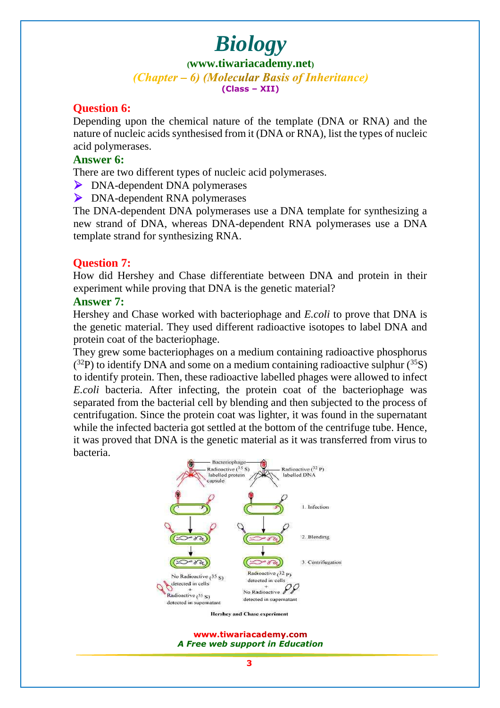**([www.tiwariacademy.net](http://www.tiwariacademy.net/))** (Chapter – 6) (Molecular Basis of Inheritance) **(Class – XII)**

#### **Question 6:**

Depending upon the chemical nature of the template (DNA or RNA) and the nature of nucleic acids synthesised from it (DNA or RNA), list the types of nucleic acid polymerases.

#### **Answer 6:**

There are two different types of nucleic acid polymerases.

- DNA-dependent DNA polymerases
- DNA-dependent RNA polymerases

The DNA-dependent DNA polymerases use a DNA template for synthesizing a new strand of DNA, whereas DNA-dependent RNA polymerases use a DNA template strand for synthesizing RNA.

#### **Question 7:**

How did Hershey and Chase differentiate between DNA and protein in their experiment while proving that DNA is the genetic material?

#### **Answer 7:**

Hershey and Chase worked with bacteriophage and *E.coli* to prove that DNA is the genetic material. They used different radioactive isotopes to label DNA and protein coat of the bacteriophage.

They grew so[me bacteriophages on a medium containing radioactive p](www.tiwariacademy.com)hosphorus  $(3<sup>2</sup>P)$  to identify DNA and some on a medium containing radioactive sulphur  $(3<sup>5</sup>S)$ to identify protein. Then, these radioactive labelled phages were allowed to infect *E.coli* bacteria. After infecting, the protein coat of the bacteriophage was separated from the bacterial cell by blending and then subjected to the process of centrifugation. Since the protein coat was lighter, it was found in the supernatant while the infected bacteria got settled at the bottom of the centrifuge tube. Hence, it was proved that DNA is the genetic material as it was transferred from virus to bacteria.

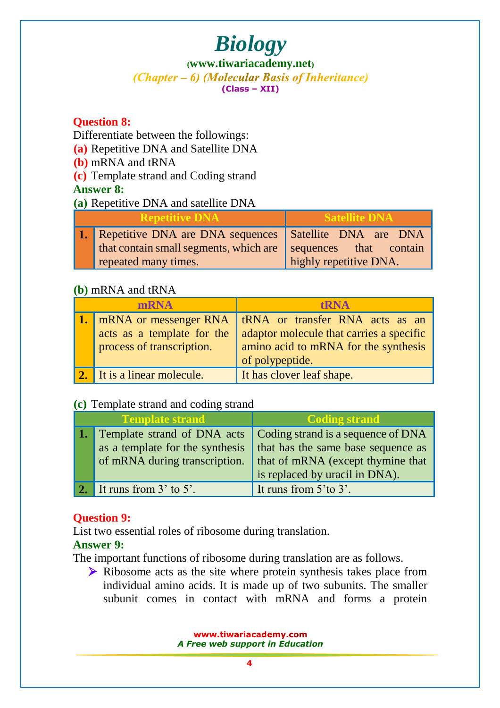#### **([www.tiwariacademy.net](http://www.tiwariacademy.net/))** (Chapter – 6) (Molecular Basis of Inheritance) **(Class – XII)**

# **Question 8:**

Differentiate between the followings:

**(a)** Repetitive DNA and Satellite DNA

**(b)** mRNA and tRNA

**(c)** Template strand and Coding strand

# **Answer 8:**

**(a)** Repetitive DNA and satellite DNA

| <b>Repetitive DNA</b> |                                                               | <b>Satellite DNA</b>   |
|-----------------------|---------------------------------------------------------------|------------------------|
|                       | 1. Repetitive DNA are DNA sequences Satellite DNA are DNA     |                        |
|                       | that contain small segments, which are sequences that contain |                        |
|                       | repeated many times.                                          | highly repetitive DNA. |

# **(b)** mRNA and tRNA

| <b>mRNA</b> |                             | <b>tRNA</b>                              |
|-------------|-----------------------------|------------------------------------------|
|             | mRNA or messenger RNA       | tRNA or transfer RNA acts as an          |
|             | acts as a template for the  | adaptor molecule that carries a specific |
|             | process of transcription.   | amino acid to mRNA for the synthesis     |
|             |                             | of polypeptide.                          |
|             | 2. It is a linear molecule. | It has clover leaf shape.                |

# **(c)** Template strand and coding strand

| <b>Template strand</b>                | <b>Coding strand</b>               |
|---------------------------------------|------------------------------------|
| <b>1.</b> Template strand of DNA acts | Coding strand is a sequence of DNA |
| as a template for the synthesis       | that has the same base sequence as |
| of mRNA during transcription.         | that of mRNA (except thymine that  |
|                                       | is replaced by uracil in DNA).     |
| 2. It runs from $3'$ to $5'$ .        | It runs from $5$ 'to $3$ '.        |

# **Question 9:**

List two essential roles of ribosome during translation.

# **Answer 9:**

The important functions of ribosome during translation are as follows.

 Ribosome acts as the site where protein synthesis takes place from individual amino acids. It is made up of two subunits. The smaller subunit comes in contact with mRNA and forms a protein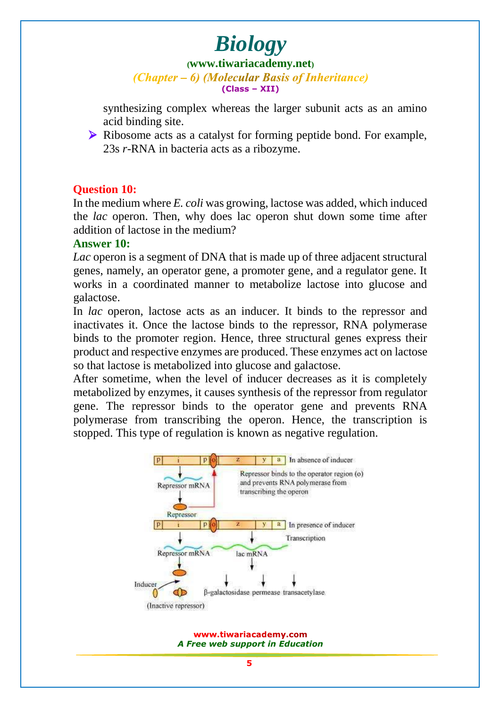**([www.tiwariacademy.net](http://www.tiwariacademy.net/))**

(Chapter – 6) (Molecular Basis of Inheritance) **(Class – XII)**

synthesizing complex whereas the larger subunit acts as an amino acid binding site.

 Ribosome acts as a catalyst for forming peptide bond. For example, 23s *r*-RNA in bacteria acts as a ribozyme.

# **Question 10:**

In the medium where *E. coli* was growing, lactose was added, which induced the *lac* operon. Then, why does lac operon shut down some time after addition of lactose in the medium?

#### **Answer 10:**

*Lac* operon is a segment of DNA that is made up of three adjacent structural genes, namely, an operator gene, a promoter gene, and a regulator gene. It works in a coordinated manner to metabolize lactose into glucose and galactose.

In *lac* operon, lactose acts as an inducer. It binds to the repressor and inactivates it. Once the lactose binds to the repressor, RNA polymerase binds to the promoter region. Hence, three structural genes express their product and respective enzymes are produced. These enzymes act on lactose so that lactose is metabolized into glucose and galactose.

After sometime, when the level of inducer decreases as it is completely metabolized by enzymes, it causes synthesis of the repressor from regulator gene. The repressor binds to the operator gene and prevents RNA polymerase from transcribing the operon. Hence, the transcription is stopped. This type of regulation is known as negative regulation.

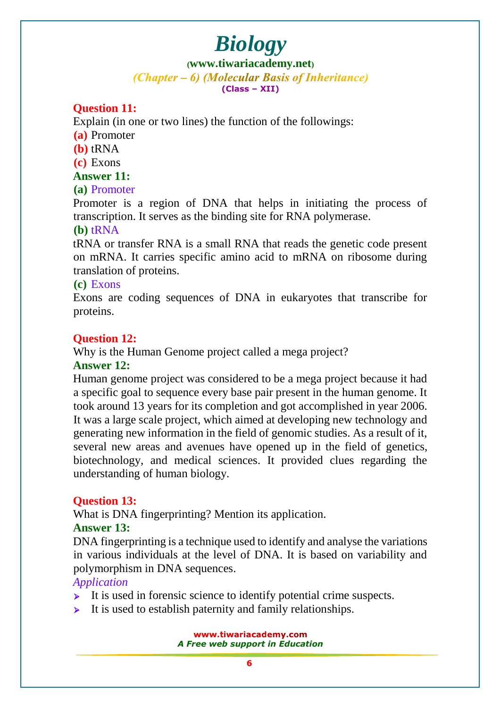#### **([www.tiwariacademy.net](http://www.tiwariacademy.net/))** (Chapter – 6) (Molecular Basis of Inheritance) **(Class – XII)**

# **Question 11:**

Explain (in one or two lines) the function of the followings:

- **(a)** Promoter
- **(b)** tRNA

**(c)** Exons

#### **Answer 11:**

### **(a)** Promoter

Promoter is a region of DNA that helps in initiating the process of transcription. It serves as the binding site for RNA polymerase.

#### **(b)** tRNA

tRNA or transfer RNA is a small RNA that reads the genetic code present on mRNA. It carries specific amino acid to mRNA on ribosome during translation of proteins.

### **(c)** Exons

Exons are coding sequences of DNA in eukaryotes that transcribe for proteins.

# **Question 12:**

Why is the Human Genome project called a mega project?

### **Answer 12:**

Human genome project was considered to be a mega project because it had a sp[ecific goal to sequence every base pair present in the human genome.](www.tiwariacademy.com) It took around 13 years for its completion and got accomplished in year 2006. It was a large scale project, which aimed at developing new technology and generating new information in the field of genomic studies. As a result of it, several new areas and avenues have opened up in the field of genetics, biotechnology, and medical sciences. It provided clues regarding the understanding of human biology.

# **Question 13:**

What is DNA fingerprinting? Mention its application.

### **Answer 13:**

DNA fingerprinting is a technique used to identify and analyse the variations in various individuals at the level of DNA. It is based on variability and polymorphism in DNA sequences.

### *Application*

- $\triangleright$  It is used in forensic science to identify potential crime suspects.
- $\triangleright$  It is used to establish paternity and family relationships.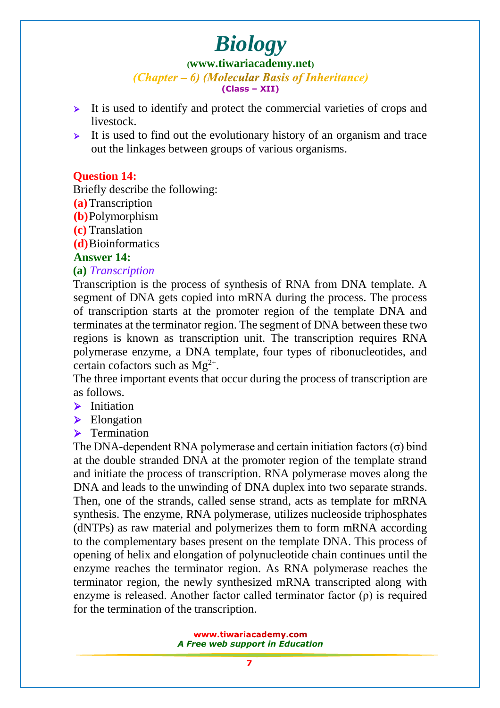**([www.tiwariacademy.net](http://www.tiwariacademy.net/))**

(Chapter – 6) (Molecular Basis of Inheritance) **(Class – XII)**

- $\triangleright$  It is used to identify and protect the commercial varieties of crops and livestock.
- It is used to find out the evolutionary history of an organism and trace out the linkages between groups of various organisms.

# **Question 14:**

Briefly describe the following:

- **(a)**Transcription
- **(b)**Polymorphism
- **(c)** Translation

**(d)**Bioinformatics

### **Answer 14:**

### **(a)** *Transcription*

Transcription is the process of synthesis of RNA from DNA template. A segment of DNA gets copied into mRNA during the process. The process of transcription starts at the promoter region of the template DNA and terminates at the terminator region. The segment of DNA between these two regions is known as transcription unit. The transcription requires RNA polymerase enzyme, a DNA template, four types of ribonucleotides, and certain cofactors such as  $Mg^{2+}$ .

The three important events that occur during the process of transcription are as follows.

- $\blacktriangleright$  Initiation
- Elongation
- $\blacktriangleright$  Termination

The DNA-dependent RNA polymerase and certain initiation factors  $(\sigma)$  bind at the double stranded DNA at the promoter region of the template strand and initiate the process of transcription. RNA polymerase moves along the DNA and leads to the unwinding of DNA duplex into two separate strands. Then, on[e of the strands, called sense strand, acts as template for m](www.tiwariacademy.com)RNA synthesis. The enzyme, RNA polymerase, utilizes nucleoside triphosphates (dNTPs) as raw material and polymerizes them to form mRNA according to the complementary bases present on the template DNA. This process of opening of helix and elongation of polynucleotide chain continues until the enzyme reaches the terminator region. As RNA polymerase reaches the terminator region, the newly synthesized mRNA transcripted along with enzyme is released. Another factor called terminator factor  $(\rho)$  is required for the termination of the transcription.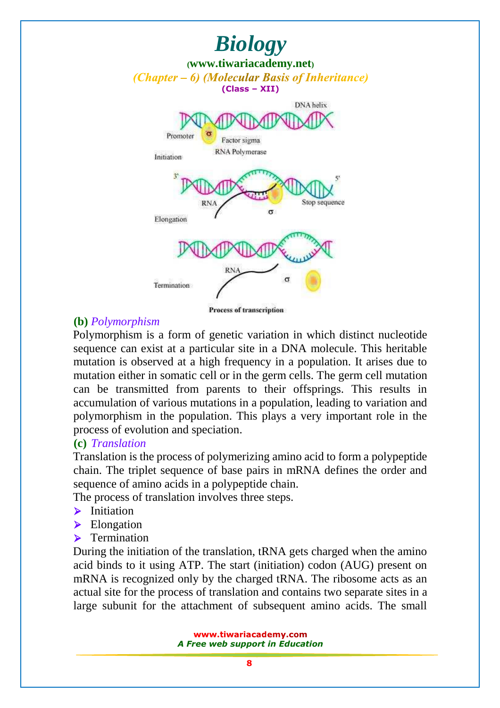

Process of transcription

#### **(b)** *Polymorphism*

Polymorphism is a form of genetic variation in which distinct nucleotide sequence can exist at a particular site in a DNA molecule. This heritable mutation is observed at a high frequency in a population. It arises due to mutation either in so[matic cell or in the germ cells. The germ cell mutatio](www.tiwariacademy.com)n can be transmitted from parents to their offsprings. This results in accumulation of various mutations in a population, leading to variation and polymorphism in the population. This plays a very important role in the process of evolution and speciation.

#### **(c)** *Translation*

Translation is the process of polymerizing amino acid to form a polypeptide chain. The triplet sequence of base pairs in mRNA defines the order and sequence of amino acids in a polypeptide chain.

The process of translation involves three steps.

- $\blacktriangleright$  Initiation
- Elongation
- $\blacktriangleright$  Termination

During the initiation of the translation, tRNA gets charged when the amino acid binds to it using ATP. The start (initiation) codon (AUG) present on mRNA is recognized only by the charged tRNA. The ribosome acts as an actual site for the process of translation and contains two separate sites in a large subunit for the attachment of subsequent amino acids. The small